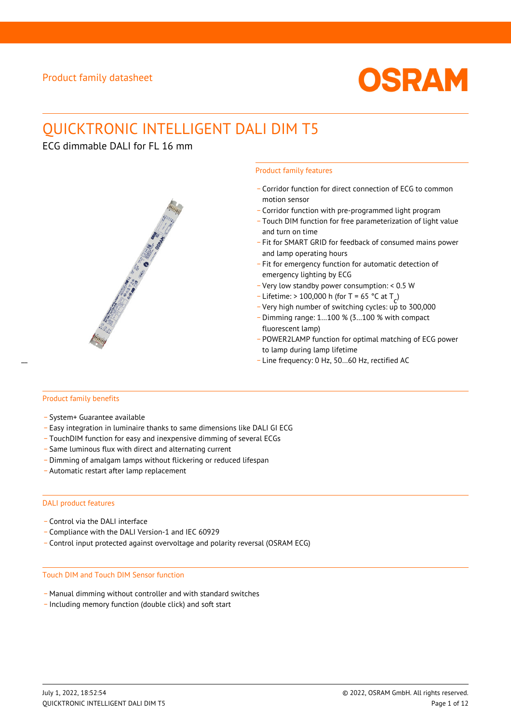

# QUICKTRONIC INTELLIGENT DALI DIM T5

ECG dimmable DALI for FL 16 mm



#### Product family features

- \_ Corridor function for direct connection of ECG to common motion sensor
- \_ Corridor function with pre-programmed light program
- \_ Touch DIM function for free parameterization of light value and turn on time
- Fit for SMART GRID for feedback of consumed mains power and lamp operating hours
- \_ Fit for emergency function for automatic detection of emergency lighting by ECG
- \_ Very low standby power consumption: < 0.5 W
- $-$  Lifetime: > 100,000 h (for T = 65 °C at T
- Litedine. The 100,000 in (ion 1 05 ° C at  $1\frac{c^7}{c^7}$ <br>- Very high number of switching cycles: up to 300,000
- \_ Dimming range: 1…100 % (3…100 % with compact fluorescent lamp)
- POWER2LAMP function for optimal matching of ECG power to lamp during lamp lifetime
- Line frequency: 0 Hz, 50...60 Hz, rectified AC

#### Product family benefits

- \_ System+ Guarantee available
- \_ Easy integration in luminaire thanks to same dimensions like DALI GI ECG
- \_ TouchDIM function for easy and inexpensive dimming of several ECGs
- \_ Same luminous flux with direct and alternating current
- \_ Dimming of amalgam lamps without flickering or reduced lifespan
- \_ Automatic restart after lamp replacement

#### DALI product features

- Control via the DALI interface
- \_ Compliance with the DALI Version-1 and IEC 60929
- \_ Control input protected against overvoltage and polarity reversal (OSRAM ECG)

#### Touch DIM and Touch DIM Sensor function

- \_ Manual dimming without controller and with standard switches
- \_ Including memory function (double click) and soft start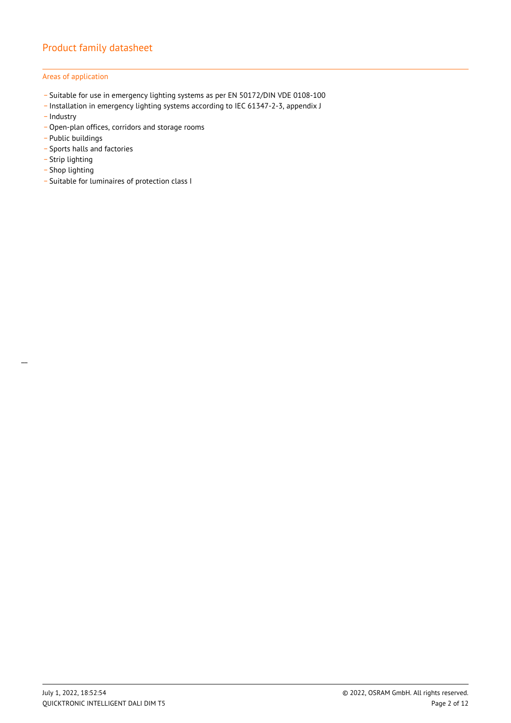#### Areas of application

- \_ Suitable for use in emergency lighting systems as per EN 50172/DIN VDE 0108-100
- \_ Installation in emergency lighting systems according to IEC 61347-2-3, appendix J
- Industry
- \_ Open-plan offices, corridors and storage rooms
- \_ Public buildings
- \_ Sports halls and factories
- .<br>- Strip lighting
- \_ Shop lighting

 $\overline{a}$ 

\_ Suitable for luminaires of protection class I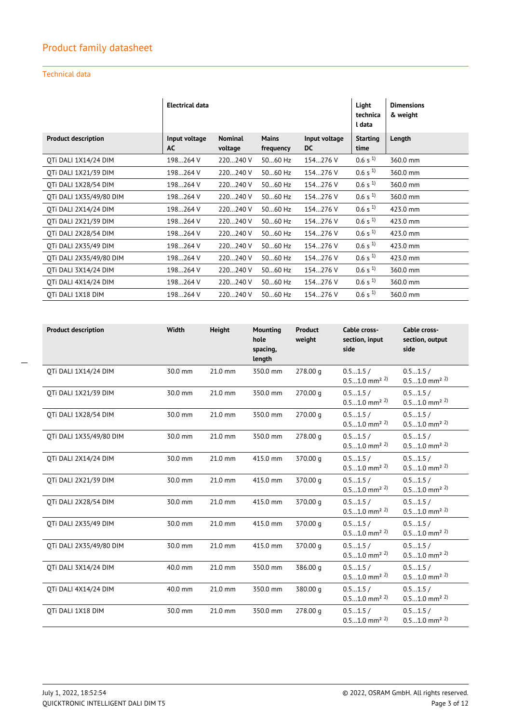#### Technical data

|                            | <b>Electrical data</b> |                           |                           |                     | Light<br>technica<br>l data | <b>Dimensions</b><br>& weight |
|----------------------------|------------------------|---------------------------|---------------------------|---------------------|-----------------------------|-------------------------------|
| <b>Product description</b> | Input voltage<br>AC    | <b>Nominal</b><br>voltage | <b>Mains</b><br>frequency | Input voltage<br>DC | <b>Starting</b><br>time     | Length                        |
| OTI DALI 1X14/24 DIM       | 198264 V               | 220240 V                  | 5060 Hz                   | 154276 V            | 0.6 s <sup>1</sup>          | 360.0 mm                      |
| OTI DALI 1X21/39 DIM       | 198264 V               | 220240 V                  | 5060 Hz                   | 154276 V            | 0.6 s <sup>1</sup>          | 360.0 mm                      |
| OTI DALI 1X28/54 DIM       | 198264 V               | 220240 V                  | 5060 Hz                   | 154276 V            | 0.6 s <sup>1</sup>          | 360.0 mm                      |
| OTi DALI 1X35/49/80 DIM    | 198264 V               | 220240 V                  | 5060 Hz                   | 154276 V            | 0.6 s <sup>1</sup>          | 360.0 mm                      |
| OTI DALI 2X14/24 DIM       | 198264 V               | 220240 V                  | 5060 Hz                   | 154276 V            | 0.6 s <sup>1</sup>          | 423.0 mm                      |
| OTI DALI 2X21/39 DIM       | 198264 V               | 220240 V                  | 5060 Hz                   | 154276 V            | 0.6 s <sup>1</sup>          | 423.0 mm                      |
| OTI DALI 2X28/54 DIM       | 198264 V               | 220240 V                  | 5060 Hz                   | 154276 V            | 0.6 s <sup>1</sup>          | 423.0 mm                      |
| OTI DALI 2X35/49 DIM       | 198264 V               | 220240 V                  | 5060 Hz                   | 154276 V            | 0.6 s <sup>1</sup>          | 423.0 mm                      |
| OTi DALI 2X35/49/80 DIM    | 198264 V               | 220240 V                  | 5060 Hz                   | 154276 V            | 0.6 s <sup>1</sup>          | 423.0 mm                      |
| OTI DALI 3X14/24 DIM       | 198264 V               | 220240 V                  | 5060 Hz                   | 154276 V            | 0.6 s <sup>1</sup>          | 360.0 mm                      |
| OTI DALI 4X14/24 DIM       | 198264 V               | 220240 V                  | 5060 Hz                   | 154276 V            | 0.6 s <sup>1</sup>          | 360.0 mm                      |
| OTI DALI 1X18 DIM          | 198264 V               | 220240 V                  | 5060 Hz                   | 154276 V            | 0.6 s <sup>1</sup>          | 360.0 mm                      |

| <b>Product description</b> | <b>Width</b> | <b>Height</b> | <b>Mounting</b><br>hole<br>spacing,<br>length | <b>Product</b><br>weight | Cable cross-<br>section, input<br>side             | Cable cross-<br>section, output<br>side            |
|----------------------------|--------------|---------------|-----------------------------------------------|--------------------------|----------------------------------------------------|----------------------------------------------------|
| OTi DALI 1X14/24 DIM       | 30.0 mm      | 21.0 mm       | 350.0 mm                                      | 278.00 g                 | 0.51.5/<br>$0.51.0$ mm <sup>2</sup> <sup>2</sup> ) | 0.51.5/<br>$0.51.0$ mm <sup>2</sup> <sup>2</sup> ) |
| OTi DALI 1X21/39 DIM       | 30.0 mm      | $21.0$ mm     | 350.0 mm                                      | 270.00 g                 | 0.51.5/<br>$0.51.0$ mm <sup>2</sup> <sup>2</sup> ) | 0.51.5/<br>$0.51.0$ mm <sup>2</sup> <sup>2</sup> ) |
| OTi DALI 1X28/54 DIM       | 30.0 mm      | 21.0 mm       | 350.0 mm                                      | 270.00 g                 | 0.51.5/<br>$0.51.0$ mm <sup>2</sup> <sup>2</sup>   | 0.51.5/<br>$0.51.0$ mm <sup>2</sup> <sup>2</sup>   |
| OTi DALI 1X35/49/80 DIM    | 30.0 mm      | 21.0 mm       | 350.0 mm                                      | 278.00 g                 | 0.51.5/<br>$0.51.0$ mm <sup>2</sup> <sup>2</sup> ) | 0.51.5/<br>$0.51.0$ mm <sup>2</sup> <sup>2</sup> ) |
| OTi DALI 2X14/24 DIM       | 30.0 mm      | 21.0 mm       | 415.0 mm                                      | 370.00 g                 | 0.51.5/<br>$0.51.0$ mm <sup>2</sup> <sup>2</sup> ) | 0.51.5/<br>$0.51.0$ mm <sup>2</sup> <sup>2</sup> ) |
| OTI DALI 2X21/39 DIM       | 30.0 mm      | 21.0 mm       | 415.0 mm                                      | 370.00 g                 | 0.51.5/<br>$0.51.0$ mm <sup>2</sup> <sup>2</sup> ) | 0.51.5/<br>$0.51.0$ mm <sup>2</sup> <sup>2</sup> ) |
| OTi DALI 2X28/54 DIM       | 30.0 mm      | 21.0 mm       | 415.0 mm                                      | 370.00 g                 | 0.51.5/<br>$0.51.0$ mm <sup>2</sup> <sup>2</sup> ) | 0.51.5/<br>$0.51.0$ mm <sup>2</sup> <sup>2</sup>   |
| OTi DALI 2X35/49 DIM       | 30.0 mm      | 21.0 mm       | 415.0 mm                                      | 370.00 g                 | 0.51.5/<br>$0.51.0$ mm <sup>2</sup> <sup>2</sup>   | 0.51.5/<br>$0.51.0$ mm <sup>2</sup> <sup>2</sup> ) |
| OTi DALI 2X35/49/80 DIM    | 30.0 mm      | 21.0 mm       | 415.0 mm                                      | 370.00 g                 | 0.51.5/<br>$0.51.0$ mm <sup>2</sup> <sup>2</sup> ) | 0.51.5/<br>$0.51.0$ mm <sup>2</sup> <sup>2</sup> ) |
| QTi DALI 3X14/24 DIM       | 40.0 mm      | 21.0 mm       | 350.0 mm                                      | 386.00 g                 | 0.51.5/<br>$0.51.0$ mm <sup>2</sup> <sup>2</sup> ) | 0.51.5/<br>$0.51.0$ mm <sup>2</sup> <sup>2</sup> ) |
| OTi DALI 4X14/24 DIM       | 40.0 mm      | 21.0 mm       | 350.0 mm                                      | 380.00 g                 | 0.51.5/<br>$0.51.0$ mm <sup>2</sup> <sup>2</sup> ) | 0.51.5/<br>$0.51.0$ mm <sup>2</sup> <sup>2</sup> ) |
| OTi DALI 1X18 DIM          | 30.0 mm      | 21.0 mm       | 350.0 mm                                      | 278.00 g                 | 0.51.5/<br>$0.51.0$ mm <sup>2</sup> <sup>2</sup> ) | 0.51.5/<br>$0.51.0$ mm <sup>2</sup> <sup>2</sup>   |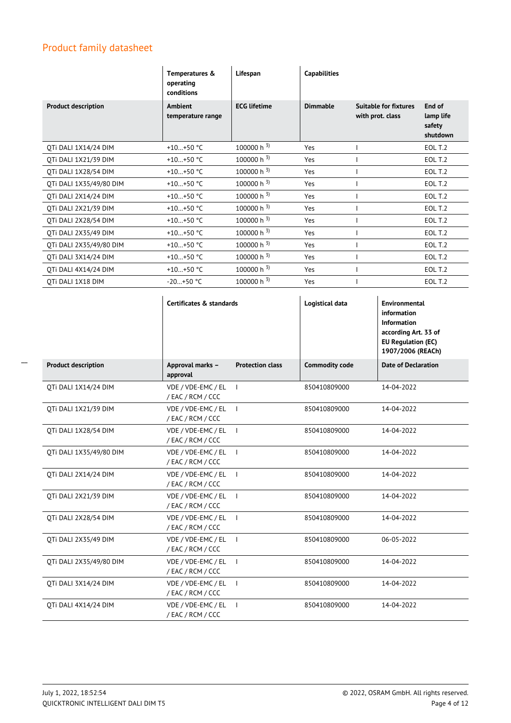$\overline{\phantom{0}}$ 

| Temperatures &<br>operating<br>conditions | Lifespan            | <b>Capabilities</b> |                                                  |                                           |
|-------------------------------------------|---------------------|---------------------|--------------------------------------------------|-------------------------------------------|
| Ambient<br>temperature range              | <b>ECG lifetime</b> | <b>Dimmable</b>     | <b>Suitable for fixtures</b><br>with prot. class | End of<br>lamp life<br>safety<br>shutdown |
| +10+50 $^{\circ}$ C                       | 100000 h $^{3}$ )   | Yes                 |                                                  | EOL T.2                                   |
| +10+50 $^{\circ}$ C                       | 100000 h $^{3}$ )   | Yes                 |                                                  | EOL T.2                                   |
| +10+50 $^{\circ}$ C                       | 100000 h $^{3}$ )   | Yes                 |                                                  | EOL T.2                                   |
| +10+50 $^{\circ}$ C                       | 100000 h $^{3}$ )   | Yes                 |                                                  | <b>EOL T.2</b>                            |
| +10+50 $°C$                               | 100000 h $^{3}$ )   | Yes                 |                                                  | EOL T.2                                   |
| +10+50 $°C$                               | 100000 h $^{3}$ )   | Yes                 |                                                  | <b>EOL T.2</b>                            |
| +10+50 $°C$                               | 100000 h $^{3}$ )   | Yes                 |                                                  | EOL T.2                                   |
| +10+50 $°C$                               | 100000 h $^{3}$ )   | Yes                 |                                                  | EOL T.2                                   |
| +10+50 $°C$                               | 100000 h $^{3}$ )   | Yes                 |                                                  | EOL T.2                                   |
| +10+50 $°C$                               | 100000 h $^{3}$ )   | Yes                 |                                                  | EOL T.2                                   |
| +10+50 $^{\circ}$ C                       | 100000 h $^{3}$ )   | Yes                 |                                                  | <b>EOL T.2</b>                            |
| $-20+50$ °C                               | 100000 h $^{3}$ )   | Yes                 |                                                  | <b>EOL T.2</b>                            |
|                                           |                     |                     |                                                  |                                           |

|                            | Certificates & standards                |                         | Logistical data       | <b>Environmental</b><br>information<br><b>Information</b><br>according Art. 33 of<br><b>EU Regulation (EC)</b><br>1907/2006 (REACh) |
|----------------------------|-----------------------------------------|-------------------------|-----------------------|-------------------------------------------------------------------------------------------------------------------------------------|
| <b>Product description</b> | Approval marks -<br>approval            | <b>Protection class</b> | <b>Commodity code</b> | <b>Date of Declaration</b>                                                                                                          |
| OTi DALI 1X14/24 DIM       | VDE / VDE-EMC / EL<br>/ EAC / RCM / CCC | $\perp$                 | 850410809000          | 14-04-2022                                                                                                                          |
| OTI DALI 1X21/39 DIM       | VDE / VDE-EMC / EL<br>/ EAC / RCM / CCC | $\perp$                 | 850410809000          | 14-04-2022                                                                                                                          |
| OTI DALI 1X28/54 DIM       | VDE / VDE-EMC / EL<br>/ EAC / RCM / CCC | - 1                     | 850410809000          | 14-04-2022                                                                                                                          |
| OTi DALI 1X35/49/80 DIM    | VDE / VDE-EMC / EL<br>/ EAC / RCM / CCC | $\Box$                  | 850410809000          | 14-04-2022                                                                                                                          |
| OTi DALI 2X14/24 DIM       | VDE / VDE-EMC / EL<br>/ EAC / RCM / CCC | $\mathbf{I}$            | 850410809000          | 14-04-2022                                                                                                                          |
| OTi DALI 2X21/39 DIM       | VDE / VDE-EMC / EL<br>/ EAC / RCM / CCC | $\blacksquare$          | 850410809000          | 14-04-2022                                                                                                                          |
| OTi DALI 2X28/54 DIM       | VDE / VDE-EMC / EL<br>/ EAC / RCM / CCC | $\mathbf{I}$            | 850410809000          | 14-04-2022                                                                                                                          |
| OTi DALI 2X35/49 DIM       | VDE / VDE-EMC / EL<br>/ EAC / RCM / CCC | $\blacksquare$          | 850410809000          | 06-05-2022                                                                                                                          |
| OTi DALI 2X35/49/80 DIM    | VDE / VDE-EMC / EL<br>/ EAC / RCM / CCC | $\blacksquare$          | 850410809000          | 14-04-2022                                                                                                                          |
| OTi DALI 3X14/24 DIM       | VDE / VDE-EMC / EL<br>/ EAC / RCM / CCC | $\mathbf{I}$            | 850410809000          | 14-04-2022                                                                                                                          |
| OTi DALI 4X14/24 DIM       | VDE / VDE-EMC / EL<br>/ EAC / RCM / CCC | $\mathbf{I}$            | 850410809000          | 14-04-2022                                                                                                                          |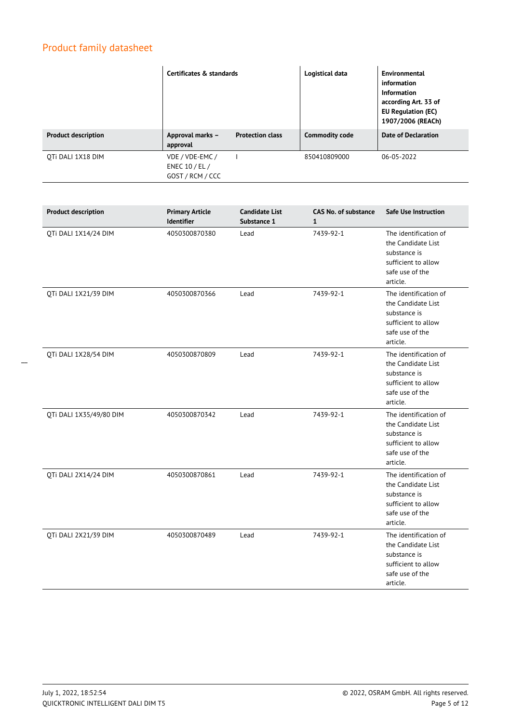|                            | Certificates & standards                              |                         | Logistical data       | Environmental<br>information<br><b>Information</b><br>according Art. 33 of<br><b>EU Regulation (EC)</b><br>1907/2006 (REACh) |
|----------------------------|-------------------------------------------------------|-------------------------|-----------------------|------------------------------------------------------------------------------------------------------------------------------|
| <b>Product description</b> | Approval marks -<br>approval                          | <b>Protection class</b> | <b>Commodity code</b> | <b>Date of Declaration</b>                                                                                                   |
| OTI DALI 1X18 DIM          | VDE / VDE-EMC /<br>ENEC 10 / EL /<br>GOST / RCM / CCC |                         | 850410809000          | 06-05-2022                                                                                                                   |

| <b>Product description</b> | <b>Primary Article</b><br><b>Identifier</b> | <b>Candidate List</b><br>Substance 1 | <b>CAS No. of substance</b><br>$\mathbf{1}$ | <b>Safe Use Instruction</b>                                                                                       |
|----------------------------|---------------------------------------------|--------------------------------------|---------------------------------------------|-------------------------------------------------------------------------------------------------------------------|
| QTi DALI 1X14/24 DIM       | 4050300870380                               | Lead                                 | 7439-92-1                                   | The identification of<br>the Candidate List<br>substance is<br>sufficient to allow<br>safe use of the<br>article. |
| QTi DALI 1X21/39 DIM       | 4050300870366                               | Lead                                 | 7439-92-1                                   | The identification of<br>the Candidate List<br>substance is<br>sufficient to allow<br>safe use of the<br>article. |
| QTi DALI 1X28/54 DIM       | 4050300870809                               | Lead                                 | 7439-92-1                                   | The identification of<br>the Candidate List<br>substance is<br>sufficient to allow<br>safe use of the<br>article. |
| QTi DALI 1X35/49/80 DIM    | 4050300870342                               | Lead                                 | 7439-92-1                                   | The identification of<br>the Candidate List<br>substance is<br>sufficient to allow<br>safe use of the<br>article. |
| QTi DALI 2X14/24 DIM       | 4050300870861                               | Lead                                 | 7439-92-1                                   | The identification of<br>the Candidate List<br>substance is<br>sufficient to allow<br>safe use of the<br>article. |
| QTi DALI 2X21/39 DIM       | 4050300870489                               | Lead                                 | 7439-92-1                                   | The identification of<br>the Candidate List<br>substance is<br>sufficient to allow<br>safe use of the<br>article. |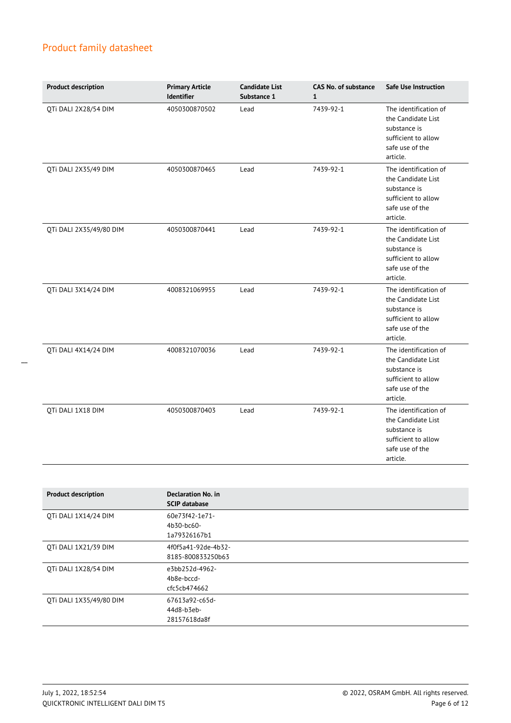| <b>Product description</b> | <b>Primary Article</b><br>Identifier | <b>Candidate List</b><br>Substance 1 | <b>CAS No. of substance</b><br>1 | <b>Safe Use Instruction</b>                                                                                       |
|----------------------------|--------------------------------------|--------------------------------------|----------------------------------|-------------------------------------------------------------------------------------------------------------------|
| QTi DALI 2X28/54 DIM       | 4050300870502                        | Lead                                 | 7439-92-1                        | The identification of<br>the Candidate List<br>substance is<br>sufficient to allow<br>safe use of the<br>article. |
| QTi DALI 2X35/49 DIM       | 4050300870465                        | Lead                                 | 7439-92-1                        | The identification of<br>the Candidate List<br>substance is<br>sufficient to allow<br>safe use of the<br>article. |
| QTi DALI 2X35/49/80 DIM    | 4050300870441                        | Lead                                 | 7439-92-1                        | The identification of<br>the Candidate List<br>substance is<br>sufficient to allow<br>safe use of the<br>article. |
| QTi DALI 3X14/24 DIM       | 4008321069955                        | Lead                                 | 7439-92-1                        | The identification of<br>the Candidate List<br>substance is<br>sufficient to allow<br>safe use of the<br>article. |
| QTi DALI 4X14/24 DIM       | 4008321070036                        | Lead                                 | 7439-92-1                        | The identification of<br>the Candidate List<br>substance is<br>sufficient to allow<br>safe use of the<br>article. |
| QTi DALI 1X18 DIM          | 4050300870403                        | Lead                                 | 7439-92-1                        | The identification of<br>the Candidate List<br>substance is<br>sufficient to allow<br>safe use of the<br>article. |

| <b>Product description</b> | <b>Declaration No. in</b><br><b>SCIP database</b> |
|----------------------------|---------------------------------------------------|
| OTi DALI 1X14/24 DIM       | 60e73f42-1e71-<br>$4b30-bc60-$<br>1a79326167b1    |
| OTi DALI 1X21/39 DIM       | 4f0f5a41-92de-4b32-<br>8185-800833250b63          |
| OTi DALI 1X28/54 DIM       | e3bb252d-4962-<br>4b8e-bccd-<br>cfc5cb474662      |
| QTi DALI 1X35/49/80 DIM    | 67613a92-c65d-<br>44d8-b3eb-<br>28157618da8f      |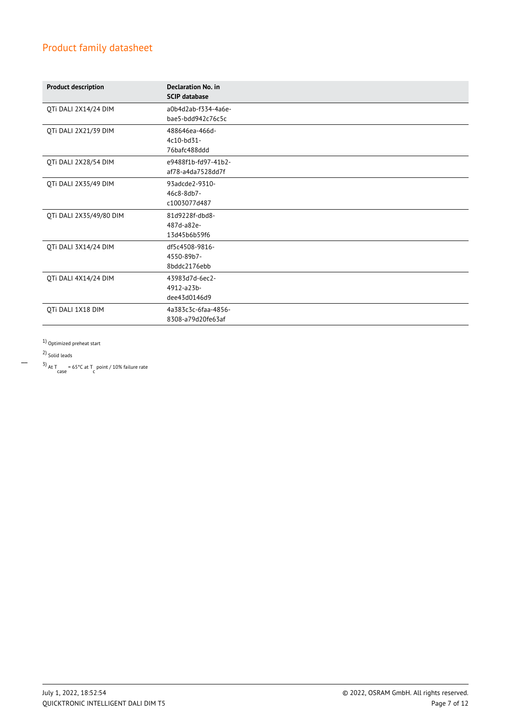| <b>Product description</b> | <b>Declaration No. in</b><br><b>SCIP database</b> |
|----------------------------|---------------------------------------------------|
| QTi DALI 2X14/24 DIM       | a0b4d2ab-f334-4a6e-<br>bae5-bdd942c76c5c          |
| OTi DALI 2X21/39 DIM       | 488646ea-466d-<br>4c10-bd31-<br>76bafc488ddd      |
| QTi DALI 2X28/54 DIM       | e9488f1b-fd97-41b2-<br>af78-a4da7528dd7f          |
| OTi DALI 2X35/49 DIM       | 93adcde2-9310-<br>46c8-8db7-<br>c1003077d487      |
| OTi DALI 2X35/49/80 DIM    | 81d9228f-dbd8-<br>487d-a82e-<br>13d45b6b59f6      |
| OTi DALI 3X14/24 DIM       | df5c4508-9816-<br>4550-89b7-<br>8bddc2176ebb      |
| OTi DALI 4X14/24 DIM       | 43983d7d-6ec2-<br>4912-a23b-<br>dee43d0146d9      |
| QTi DALI 1X18 DIM          | 4a383c3c-6faa-4856-<br>8308-a79d20fe63af          |

 $1)$  Optimized preheat start

2) Solid leads

 $^{3)}$  At T  $_{\text{case}}$  = 65°C at T point / 10% failure rate

 $\overline{\phantom{a}}$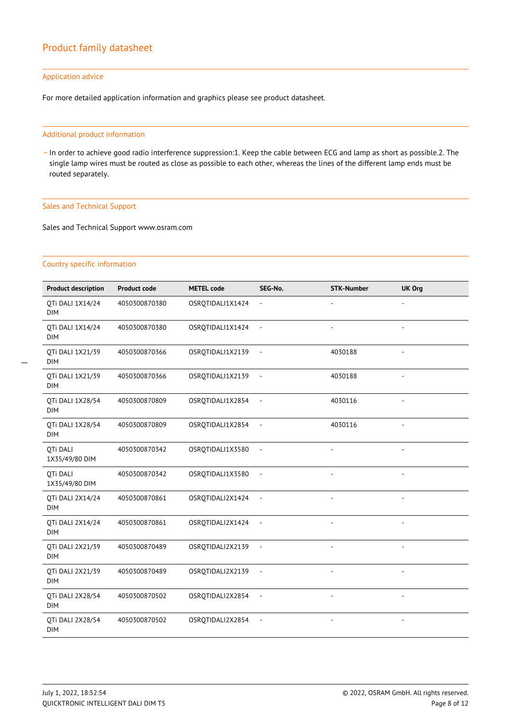#### Application advice

For more detailed application information and graphics please see product datasheet.

#### Additional product information

\_ In order to achieve good radio interference suppression:1. Keep the cable between ECG and lamp as short as possible.2. The single lamp wires must be routed as close as possible to each other, whereas the lines of the different lamp ends must be routed separately.

#### Sales and Technical Support

Sales and Technical Support www.osram.com

#### Country specific information

| <b>Product description</b>     | <b>Product code</b> | <b>METEL code</b> | SEG-No.                  | <b>STK-Number</b> | UK Org                   |
|--------------------------------|---------------------|-------------------|--------------------------|-------------------|--------------------------|
| QTi DALI 1X14/24<br><b>DIM</b> | 4050300870380       | OSRQTIDALI1X1424  |                          |                   |                          |
| QTi DALI 1X14/24<br><b>DIM</b> | 4050300870380       | OSRQTIDALI1X1424  | ÷,                       |                   |                          |
| QTi DALI 1X21/39<br><b>DIM</b> | 4050300870366       | OSROTIDALI1X2139  |                          | 4030188           |                          |
| QTi DALI 1X21/39<br><b>DIM</b> | 4050300870366       | OSRQTIDALI1X2139  | $\blacksquare$           | 4030188           |                          |
| QTi DALI 1X28/54<br><b>DIM</b> | 4050300870809       | OSRQTIDALI1X2854  | ÷,                       | 4030116           |                          |
| QTi DALI 1X28/54<br><b>DIM</b> | 4050300870809       | OSROTIDALI1X2854  | $\blacksquare$           | 4030116           |                          |
| OTi DALI<br>1X35/49/80 DIM     | 4050300870342       | OSRQTIDALI1X3580  | $\blacksquare$           |                   |                          |
| QTi DALI<br>1X35/49/80 DIM     | 4050300870342       | OSRQTIDALI1X3580  | $\overline{\phantom{a}}$ |                   |                          |
| QTi DALI 2X14/24<br><b>DIM</b> | 4050300870861       | OSRQTIDALI2X1424  | $\Box$                   |                   | $\overline{\phantom{a}}$ |
| QTi DALI 2X14/24<br><b>DIM</b> | 4050300870861       | OSRQTIDALI2X1424  | ÷,                       |                   |                          |
| QTi DALI 2X21/39<br><b>DIM</b> | 4050300870489       | OSRQTIDALI2X2139  |                          |                   |                          |
| QTi DALI 2X21/39<br><b>DIM</b> | 4050300870489       | OSRQTIDALI2X2139  |                          |                   |                          |
| QTi DALI 2X28/54<br><b>DIM</b> | 4050300870502       | OSRQTIDALI2X2854  | ÷,                       |                   |                          |
| QTi DALI 2X28/54<br><b>DIM</b> | 4050300870502       | OSRQTIDALI2X2854  |                          |                   |                          |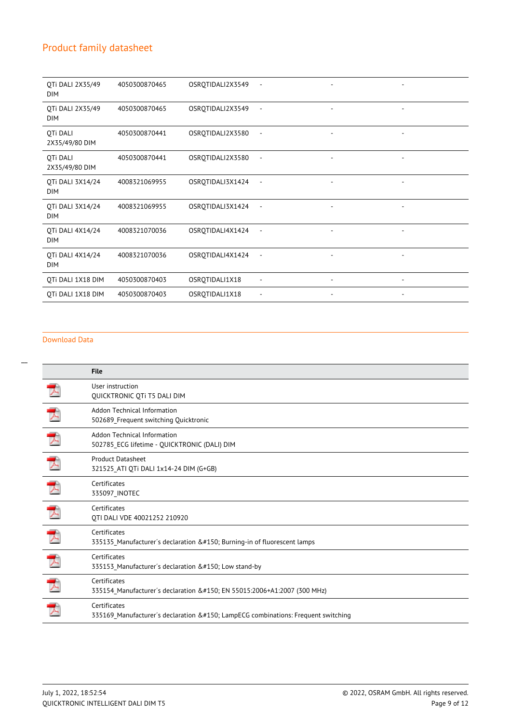| QTi DALI 2X35/49<br><b>DIM</b>    | 4050300870465 | OSROTIDALI2X3549 | $\overline{\phantom{a}}$ |                          |  |
|-----------------------------------|---------------|------------------|--------------------------|--------------------------|--|
| QTi DALI 2X35/49<br><b>DIM</b>    | 4050300870465 | OSROTIDALI2X3549 | $\overline{\phantom{a}}$ |                          |  |
| <b>QTi DALI</b><br>2X35/49/80 DIM | 4050300870441 | OSROTIDALI2X3580 | $\overline{\phantom{a}}$ |                          |  |
| <b>QTi DALI</b><br>2X35/49/80 DIM | 4050300870441 | OSROTIDALI2X3580 | $\overline{\phantom{a}}$ | $\overline{\phantom{a}}$ |  |
| OTi DALI 3X14/24<br><b>DIM</b>    | 4008321069955 | OSROTIDALI3X1424 | $\overline{\phantom{a}}$ |                          |  |
| OTi DALI 3X14/24<br><b>DIM</b>    | 4008321069955 | OSROTIDALI3X1424 | $\overline{\phantom{a}}$ | $\overline{\phantom{a}}$ |  |
| QTi DALI 4X14/24<br><b>DIM</b>    | 4008321070036 | OSROTIDALI4X1424 | $\overline{\phantom{a}}$ |                          |  |
| OTi DALI 4X14/24<br><b>DIM</b>    | 4008321070036 | OSROTIDALI4X1424 | $\overline{\phantom{a}}$ | $\overline{\phantom{a}}$ |  |
| OTI DALI 1X18 DIM                 | 4050300870403 | OSROTIDALI1X18   | $\overline{a}$           |                          |  |
| OTI DALI 1X18 DIM                 | 4050300870403 | OSROTIDALI1X18   | $\overline{a}$           |                          |  |

#### Download Data

 $\overline{a}$ 

|   | <b>File</b>                                                                                  |
|---|----------------------------------------------------------------------------------------------|
|   | User instruction<br>QUICKTRONIC QTi T5 DALI DIM                                              |
| 乁 | Addon Technical Information<br>502689_Frequent switching Quicktronic                         |
|   | Addon Technical Information<br>502785_ECG lifetime - QUICKTRONIC (DALI) DIM                  |
| 丁 | <b>Product Datasheet</b><br>321525_ATI QTi DALI 1x14-24 DIM (G+GB)                           |
| 大 | Certificates<br>335097_INOTEC                                                                |
|   | Certificates<br>OTI DALI VDE 40021252 210920                                                 |
|   | Certificates<br>335135_Manufacturer's declaration – Burning-in of fluorescent lamps          |
|   | Certificates<br>335153 Manufacturer's declaration – Low stand-by                             |
|   | Certificates<br>335154_Manufacturer's declaration – EN 55015:2006+A1:2007 (300 MHz)          |
|   | Certificates<br>335169_Manufacturer's declaration – LampECG combinations: Frequent switching |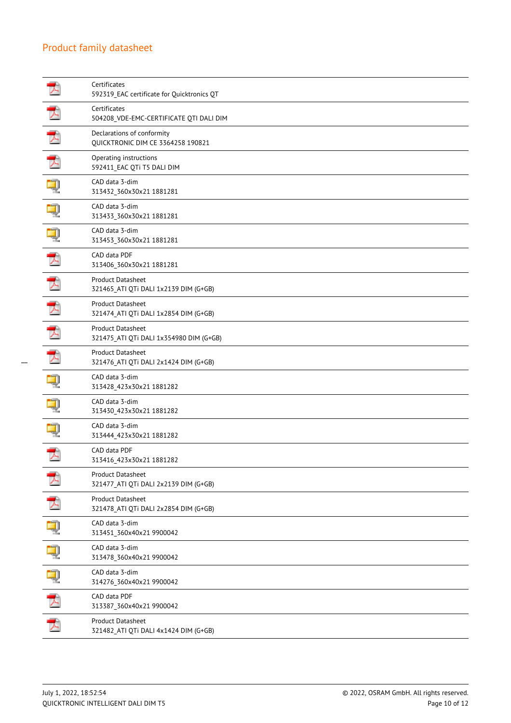|                      | Certificates<br>592319_EAC certificate for Quicktronics QT        |
|----------------------|-------------------------------------------------------------------|
| ᄎ                    | Certificates<br>504208_VDE-EMC-CERTIFICATE QTI DALI DIM           |
| プ                    | Declarations of conformity<br>QUICKTRONIC DIM CE 3364258 190821   |
| プ                    | Operating instructions<br>592411_EAC QTi T5 DALI DIM              |
|                      | CAD data 3-dim<br>313432_360x30x21 1881281                        |
| Ę                    | CAD data 3-dim<br>313433_360x30x21 1881281                        |
|                      | CAD data 3-dim<br>313453_360x30x21 1881281                        |
| プ                    | CAD data PDF<br>313406_360x30x21 1881281                          |
| 入                    | Product Datasheet<br>321465_ATI QTi DALI 1x2139 DIM (G+GB)        |
| プ                    | Product Datasheet<br>321474_ATI QTi DALI 1x2854 DIM (G+GB)        |
| 人                    | Product Datasheet<br>321475_ATI QTi DALI 1x354980 DIM (G+GB)      |
| 兦                    | Product Datasheet<br>321476_ATI QTi DALI 2x1424 DIM (G+GB)        |
|                      | CAD data 3-dim<br>313428_423x30x21 1881282                        |
|                      | CAD data 3-dim<br>313430_423x30x21 1881282                        |
|                      | CAD data 3-dim<br>313444_423x30x21 1881282                        |
| ᄎ                    | CAD data PDF<br>313416 423x30x21 1881282                          |
|                      | Product Datasheet<br>321477_ATI QTi DALI 2x2139 DIM (G+GB)        |
| 玉                    | <b>Product Datasheet</b><br>321478_ATI QTi DALI 2x2854 DIM (G+GB) |
|                      | CAD data 3-dim<br>313451_360x40x21 9900042                        |
|                      | CAD data 3-dim<br>313478_360x40x21 9900042                        |
| Ą                    | CAD data 3-dim<br>314276_360x40x21 9900042                        |
| $\overline{\lambda}$ | CAD data PDF<br>313387_360x40x21 9900042                          |
|                      | Product Datasheet<br>321482_ATI QTi DALI 4x1424 DIM (G+GB)        |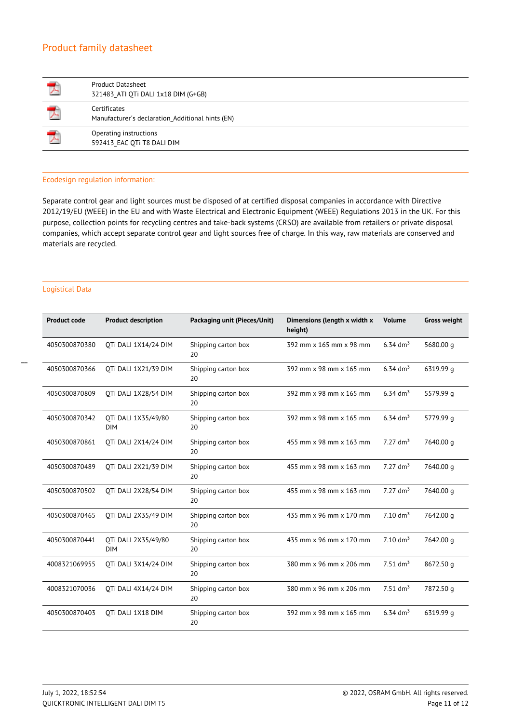| <b>Product Datasheet</b><br>321483 ATI OTI DALI 1x18 DIM (G+GB)  |
|------------------------------------------------------------------|
| Certificates<br>Manufacturer's declaration Additional hints (EN) |
| Operating instructions<br>592413 EAC OTI T8 DALI DIM             |

#### Ecodesign regulation information:

Separate control gear and light sources must be disposed of at certified disposal companies in accordance with Directive 2012/19/EU (WEEE) in the EU and with Waste Electrical and Electronic Equipment (WEEE) Regulations 2013 in the UK. For this purpose, collection points for recycling centres and take-back systems (CRSO) are available from retailers or private disposal companies, which accept separate control gear and light sources free of charge. In this way, raw materials are conserved and materials are recycled.

#### Logistical Data

 $\overline{a}$ 

| <b>Product code</b> | <b>Product description</b>        | Packaging unit (Pieces/Unit) | Dimensions (length x width x<br>height) | Volume                 | <b>Gross weight</b> |
|---------------------|-----------------------------------|------------------------------|-----------------------------------------|------------------------|---------------------|
| 4050300870380       | OTi DALI 1X14/24 DIM              | Shipping carton box<br>20    | 392 mm x 165 mm x 98 mm                 | $6.34$ dm <sup>3</sup> | 5680.00 g           |
| 4050300870366       | OTi DALI 1X21/39 DIM              | Shipping carton box<br>20    | 392 mm x 98 mm x 165 mm                 | $6.34$ dm <sup>3</sup> | 6319.99 g           |
| 4050300870809       | OTI DALI 1X28/54 DIM              | Shipping carton box<br>20    | 392 mm x 98 mm x 165 mm                 | 6.34 $\rm{dm^{3}}$     | 5579.99 g           |
| 4050300870342       | OTi DALI 1X35/49/80<br><b>DIM</b> | Shipping carton box<br>20    | 392 mm x 98 mm x 165 mm                 | 6.34 $\rm{dm^{3}}$     | 5779.99 g           |
| 4050300870861       | OTi DALI 2X14/24 DIM              | Shipping carton box<br>20    | 455 mm x 98 mm x 163 mm                 | $7.27$ dm <sup>3</sup> | 7640.00 g           |
| 4050300870489       | OTi DALI 2X21/39 DIM              | Shipping carton box<br>20    | 455 mm x 98 mm x 163 mm                 | $7.27 \text{ dm}^3$    | 7640.00 g           |
| 4050300870502       | OTi DALI 2X28/54 DIM              | Shipping carton box<br>20    | 455 mm x 98 mm x 163 mm                 | 7.27 $dm^3$            | 7640.00 g           |
| 4050300870465       | OTi DALI 2X35/49 DIM              | Shipping carton box<br>20    | 435 mm x 96 mm x 170 mm                 | $7.10 \text{ dm}^3$    | 7642.00 g           |
| 4050300870441       | OTi DALI 2X35/49/80<br><b>DIM</b> | Shipping carton box<br>20    | 435 mm x 96 mm x 170 mm                 | $7.10 \text{ dm}^3$    | 7642.00 g           |
| 4008321069955       | OTi DALI 3X14/24 DIM              | Shipping carton box<br>20    | 380 mm x 96 mm x 206 mm                 | $7.51$ dm <sup>3</sup> | 8672.50 g           |
| 4008321070036       | OTi DALI 4X14/24 DIM              | Shipping carton box<br>20    | 380 mm x 96 mm x 206 mm                 | $7.51$ dm <sup>3</sup> | 7872.50 g           |
| 4050300870403       | OTI DALI 1X18 DIM                 | Shipping carton box<br>20    | 392 mm x 98 mm x 165 mm                 | $6.34$ dm <sup>3</sup> | 6319.99 g           |